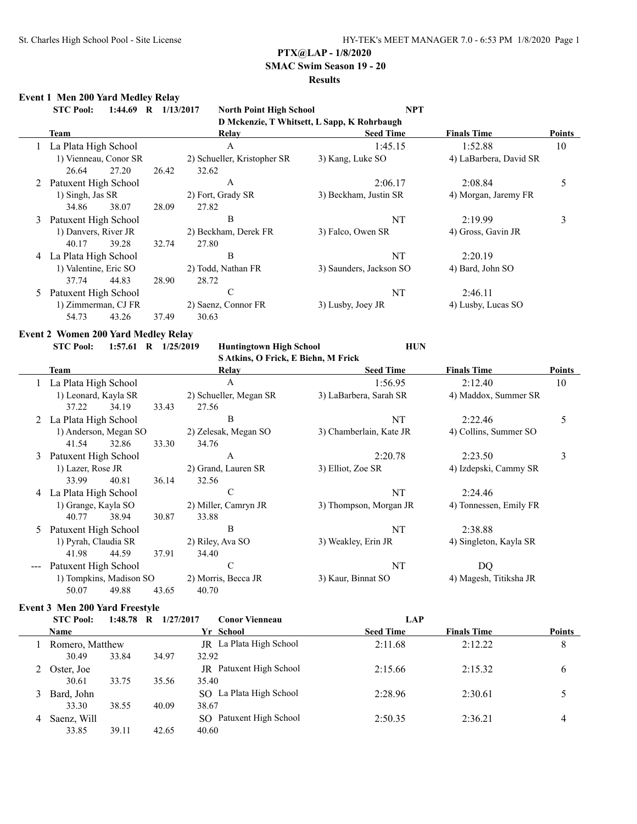## **SMAC Swim Season 19 - 20**

## **Results**

### **Event 1 Men 200 Yard Medley Relay**

|   | <b>STC Pool:</b><br>$1:44.69$ R | 1/13/2017 | <b>North Point High School</b> | <b>NPT</b>                                  |                        |               |
|---|---------------------------------|-----------|--------------------------------|---------------------------------------------|------------------------|---------------|
|   |                                 |           |                                | D Mckenzie, T Whitsett, L Sapp, K Rohrbaugh |                        |               |
|   | Team                            |           | Relay                          | <b>Seed Time</b>                            | <b>Finals Time</b>     | <b>Points</b> |
|   | La Plata High School            |           | $\mathbf{A}$                   | 1:45.15                                     | 1:52.88                | 10            |
|   | 1) Vienneau, Conor SR           |           | 2) Schueller, Kristopher SR    | 3) Kang, Luke SO                            | 4) LaBarbera, David SR |               |
|   | 26.64<br>27.20                  | 26.42     | 32.62                          |                                             |                        |               |
| 2 | Patuxent High School            |           | A                              | 2:06.17                                     | 2:08.84                | 5             |
|   | 1) Singh, Jas SR                |           | 2) Fort, Grady SR              | 3) Beckham, Justin SR                       | 4) Morgan, Jaremy FR   |               |
|   | 34.86<br>38.07                  | 28.09     | 27.82                          |                                             |                        |               |
| 3 | Patuxent High School            |           | B                              | NT                                          | 2:19.99                | 3             |
|   | 1) Danvers, River JR            |           | 2) Beckham, Derek FR           | 3) Falco, Owen SR                           | 4) Gross, Gavin JR     |               |
|   | 40.17<br>39.28                  | 32.74     | 27.80                          |                                             |                        |               |
| 4 | La Plata High School            |           | B                              | NT                                          | 2:20.19                |               |
|   | 1) Valentine, Eric SO           |           | 2) Todd, Nathan FR             | 3) Saunders, Jackson SO                     | 4) Bard, John SO       |               |
|   | 37.74<br>44.83                  | 28.90     | 28.72                          |                                             |                        |               |
|   | Patuxent High School            |           | C                              | NT                                          | 2:46.11                |               |
|   | 1) Zimmerman, CJ FR             |           | 2) Saenz, Connor FR            | 3) Lusby, Joey JR                           | 4) Lusby, Lucas SO     |               |
|   | 54.73<br>43.26                  | 37.49     | 30.63                          |                                             |                        |               |
|   |                                 |           |                                |                                             |                        |               |

### **Event 2 Women 200 Yard Medley Relay**

|   | $1:57.61$ R $1/25/2019$<br><b>STC Pool:</b> |                                                                      |       | <b>Huntingtown High School</b><br>S Atkins, O Frick, E Biehn, M Frick | <b>HUN</b>              |                        |               |
|---|---------------------------------------------|----------------------------------------------------------------------|-------|-----------------------------------------------------------------------|-------------------------|------------------------|---------------|
|   | Team                                        |                                                                      |       | Relay                                                                 | <b>Seed Time</b>        | <b>Finals Time</b>     | <b>Points</b> |
|   | La Plata High School                        |                                                                      |       | A                                                                     | 1:56.95                 | 2:12.40                | 10            |
|   | 1) Leonard, Kayla SR                        |                                                                      |       | 2) Schueller, Megan SR                                                | 3) LaBarbera, Sarah SR  | 4) Maddox, Summer SR   |               |
|   | 37.22                                       | 34.19                                                                | 33.43 | 27.56                                                                 |                         |                        |               |
|   | La Plata High School                        |                                                                      |       | В                                                                     | NT                      | 2:22.46                | 5             |
|   | 1) Anderson, Megan SO                       |                                                                      |       | 2) Zelesak, Megan SO                                                  | 3) Chamberlain, Kate JR | 4) Collins, Summer SO  |               |
|   | 41.54                                       | 32.86                                                                | 33.30 | 34.76                                                                 |                         |                        |               |
| 3 | Patuxent High School                        |                                                                      |       | A                                                                     | 2:20.78                 | 2:23.50                | 3             |
|   | 1) Lazer, Rose JR                           |                                                                      |       | 2) Grand, Lauren SR                                                   | 3) Elliot, Zoe SR       | 4) Izdepski, Cammy SR  |               |
|   | 33.99                                       | 40.81                                                                | 36.14 | 32.56                                                                 |                         |                        |               |
| 4 | La Plata High School                        |                                                                      |       | C                                                                     | NT                      | 2:24.46                |               |
|   | 1) Grange, Kayla SO                         |                                                                      |       | 2) Miller, Camryn JR                                                  | 3) Thompson, Morgan JR  | 4) Tonnessen, Emily FR |               |
|   | 40.77                                       | 38.94                                                                | 30.87 | 33.88                                                                 |                         |                        |               |
| 5 | Patuxent High School                        |                                                                      |       | В                                                                     | NT                      | 2:38.88                |               |
|   | 1) Pyrah, Claudia SR                        |                                                                      |       | 2) Riley, Ava SO                                                      | 3) Weakley, Erin JR     | 4) Singleton, Kayla SR |               |
|   | 41.98                                       | 44.59                                                                | 37.91 | 34.40                                                                 |                         |                        |               |
|   | Patuxent High School                        |                                                                      |       | $\mathcal{C}$                                                         | NT                      | DQ                     |               |
|   |                                             | 1) Tompkins, Madison SO<br>2) Morris, Becca JR<br>3) Kaur, Binnat SO |       | 4) Magesh, Titiksha JR                                                |                         |                        |               |
|   | 50.07                                       | 49.88                                                                | 43.65 | 40.70                                                                 |                         |                        |               |

## **Event 3 Men 200 Yard Freestyle**

|   | <b>STC Pool:</b> | $1:48.78$ R | 1/27/2017 | <b>Conor Vienneau</b>          | LAP              |                    |               |
|---|------------------|-------------|-----------|--------------------------------|------------------|--------------------|---------------|
|   | <b>Name</b>      |             |           | Yr School                      | <b>Seed Time</b> | <b>Finals Time</b> | <b>Points</b> |
|   | Romero, Matthew  |             |           | JR La Plata High School        | 2:11.68          | 2:12.22            | 8             |
|   | 30.49            | 33.84       | 34.97     | 32.92                          |                  |                    |               |
|   | Oster, Joe       |             |           | <b>JR</b> Patuxent High School | 2:15.66          | 2:15.32            | 6             |
|   | 30.61            | 33.75       | 35.56     | 35.40                          |                  |                    |               |
| 3 | Bard, John       |             |           | SO La Plata High School        | 2:28.96          | 2:30.61            |               |
|   | 33.30            | 38.55       | 40.09     | 38.67                          |                  |                    |               |
| 4 | Saenz, Will      |             |           | Patuxent High School<br>SO.    | 2:50.35          | 2:36.21            | 4             |
|   | 33.85            | 39.11       | 42.65     | 40.60                          |                  |                    |               |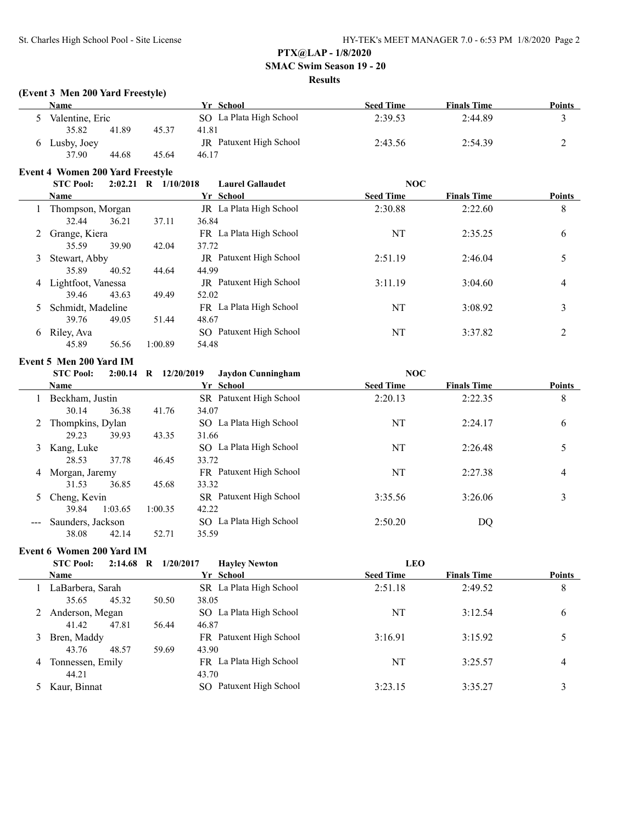#### **SMAC Swim Season 19 - 20**

#### **Results**

#### **(Event 3 Men 200 Yard Freestyle)**

| Name            |       |       | Yr School               | <b>Seed Time</b> | <b>Finals Time</b> | <b>Points</b> |
|-----------------|-------|-------|-------------------------|------------------|--------------------|---------------|
| Valentine, Eric |       |       | SO La Plata High School | 2:39.53          | 2:44.89            |               |
| 35.82           | 41.89 | 45.37 | 41.81                   |                  |                    |               |
| Lusby, Joey     |       |       | JR Patuxent High School | 2:43.56          | 2:54.39            |               |
| 37.90           | 44.68 | 45.64 | 46.17                   |                  |                    |               |

# **Event 4 Women 200 Yard Freestyle**

|   | <b>STC Pool:</b>     | <b>NOC</b><br>$2:02.21$ R<br>1/10/2018<br><b>Laurel Gallaudet</b> |                                |                  |                    |                |
|---|----------------------|-------------------------------------------------------------------|--------------------------------|------------------|--------------------|----------------|
|   | <b>Name</b>          |                                                                   | Yr School                      | <b>Seed Time</b> | <b>Finals Time</b> | <b>Points</b>  |
|   | Thompson, Morgan     |                                                                   | <b>IR</b> La Plata High School | 2:30.88          | 2:22.60            | 8              |
|   | 36.21<br>32.44       | 37.11                                                             | 36.84                          |                  |                    |                |
|   | Grange, Kiera        |                                                                   | FR La Plata High School        | NT               | 2:35.25            | 6              |
|   | 39.90<br>35.59       | 42.04                                                             | 37.72                          |                  |                    |                |
| 3 | Stewart, Abby        |                                                                   | JR Patuxent High School        | 2:51.19          | 2:46.04            |                |
|   | 35.89<br>40.52       | 44.64                                                             | 44.99                          |                  |                    |                |
|   | 4 Lightfoot, Vanessa |                                                                   | JR Patuxent High School        | 3:11.19          | 3:04.60            | 4              |
|   | 39.46<br>43.63       | 49.49                                                             | 52.02                          |                  |                    |                |
|   | Schmidt, Madeline    |                                                                   | FR La Plata High School        | NT               | 3:08.92            | 3              |
|   | 49.05<br>39.76       | 51.44                                                             | 48.67                          |                  |                    |                |
| 6 | Riley, Ava           |                                                                   | SO Patuxent High School        | NT               | 3:37.82            | $\mathfrak{D}$ |
|   | 45.89<br>56.56       | 1:00.89                                                           | 54.48                          |                  |                    |                |

## **Event 5 Men 200 Yard IM**

## **STC Pool: 2:00.14 R 12/20/2019 Jaydon Cunningham NOC**

|                        | Name              |         | Yr School               | <b>Seed Time</b> | <b>Finals Time</b> | Points |
|------------------------|-------------------|---------|-------------------------|------------------|--------------------|--------|
|                        | Beckham, Justin   |         | SR Patuxent High School | 2:20.13          | 2:22.35            | 8      |
|                        | 36.38<br>30.14    | 41.76   | 34.07                   |                  |                    |        |
|                        | Thompkins, Dylan  |         | SO La Plata High School | NT               | 2:24.17            | 6      |
|                        | 29.23<br>39.93    | 43.35   | 31.66                   |                  |                    |        |
| 3                      | Kang, Luke        |         | SO La Plata High School | NT               | 2:26.48            |        |
|                        | 37.78<br>28.53    | 46.45   | 33.72                   |                  |                    |        |
| 4                      | Morgan, Jaremy    |         | FR Patuxent High School | NT               | 2:27.38            | 4      |
|                        | 36.85<br>31.53    | 45.68   | 33.32                   |                  |                    |        |
| 5                      | Cheng, Kevin      |         | SR Patuxent High School | 3:35.56          | 3:26.06            | 3      |
|                        | 1:03.65<br>39.84  | 1:00.35 | 42.22                   |                  |                    |        |
| $\qquad \qquad \cdots$ | Saunders, Jackson |         | SO La Plata High School | 2:50.20          | DQ                 |        |
|                        | 38.08<br>42.14    | 52.71   | 35.59                   |                  |                    |        |

### **Event 6 Women 200 Yard IM**

### **STC Pool: 2:14.68 R 1/20/2017 Hayley Newton LEO**

|   | <b>Name</b>      |       | Yr School               | <b>Seed Time</b> | <b>Finals Time</b> | <b>Points</b> |
|---|------------------|-------|-------------------------|------------------|--------------------|---------------|
|   | LaBarbera, Sarah |       | SR La Plata High School | 2:51.18          | 2:49.52            | 8             |
|   | 45.32<br>35.65   | 50.50 | 38.05                   |                  |                    |               |
|   | Anderson, Megan  |       | SO La Plata High School | NT               | 3:12.54            | 6             |
|   | 41.42<br>47.81   | 56.44 | 46.87                   |                  |                    |               |
| 3 | Bren, Maddy      |       | FR Patuxent High School | 3:16.91          | 3:15.92            |               |
|   | 43.76<br>48.57   | 59.69 | 43.90                   |                  |                    |               |
| 4 | Tonnessen, Emily |       | FR La Plata High School | NT               | 3:25.57            | 4             |
|   | 44.21            |       | 43.70                   |                  |                    |               |
|   | Kaur, Binnat     |       | SO Patuxent High School | 3:23.15          | 3:35.27            | 3             |
|   |                  |       |                         |                  |                    |               |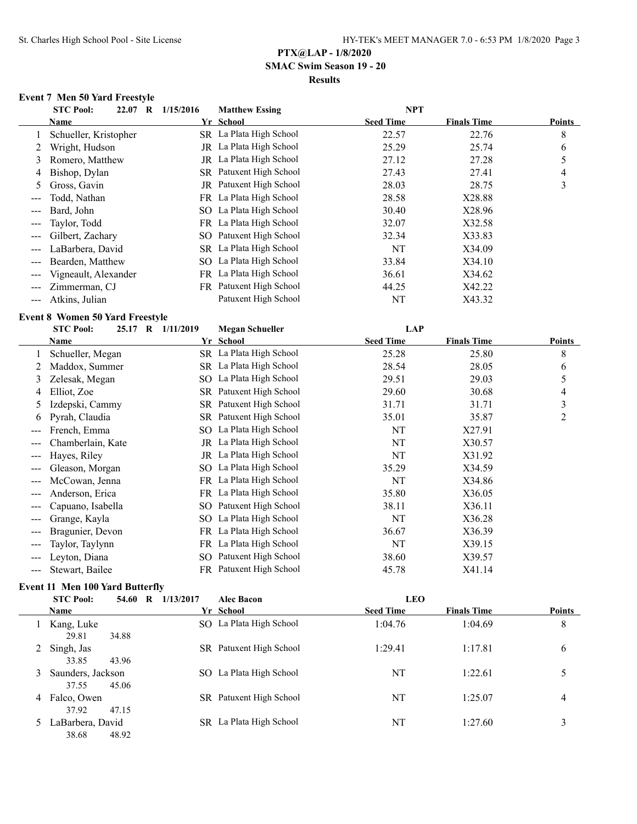### **PTX@LAP - 1/8/2020 SMAC Swim Season 19 - 20 Results**

### **Event 7 Men 50 Yard Freestyle**

|                   | <b>STC Pool:</b><br>22.07 R | 1/15/2016<br><b>Matthew Essing</b> | <b>NPT</b>                             |                |
|-------------------|-----------------------------|------------------------------------|----------------------------------------|----------------|
|                   | Name                        | Yr School                          | <b>Seed Time</b><br><b>Finals Time</b> | <b>Points</b>  |
|                   | Schueller, Kristopher       | SR La Plata High School            | 22.57<br>22.76                         | 8              |
|                   | Wright, Hudson              | JR La Plata High School            | 25.74<br>25.29                         | 6              |
| 3                 | Romero, Matthew             | La Plata High School<br>JR         | 27.12<br>27.28                         | 5              |
| 4                 | Bishop, Dylan               | SR Patuxent High School            | 27.43<br>27.41                         | $\overline{4}$ |
| 5                 | Gross, Gavin                | JR Patuxent High School            | 28.03<br>28.75                         | 3              |
| ---               | Todd, Nathan                | FR La Plata High School            | X28.88<br>28.58                        |                |
| $\qquad \qquad -$ | Bard, John                  | SO La Plata High School            | 30.40<br>X28.96                        |                |
|                   | Taylor, Todd                | FR La Plata High School            | X32.58<br>32.07                        |                |
|                   | Gilbert, Zachary            | SO Patuxent High School            | X33.83<br>32.34                        |                |
| $---$             | LaBarbera, David            | SR La Plata High School            | NT<br>X34.09                           |                |
|                   | Bearden, Matthew            | SO La Plata High School            | 33.84<br>X34.10                        |                |
|                   | Vigneault, Alexander        | FR La Plata High School            | 36.61<br>X34.62                        |                |
|                   | Zimmerman, CJ               | FR Patuxent High School            | 44.25<br>X42.22                        |                |
|                   | Atkins, Julian              | Patuxent High School               | NT<br>X43.32                           |                |
|                   |                             |                                    |                                        |                |

### **Event 8 Women 50 Yard Freestyle**

|     | <b>STC Pool:</b>  | 25.17 R 1/11/2019 | <b>Megan Schueller</b>  |                  |                    |               |
|-----|-------------------|-------------------|-------------------------|------------------|--------------------|---------------|
|     | Name              |                   | Yr School               | <b>Seed Time</b> | <b>Finals Time</b> | <b>Points</b> |
|     | Schueller, Megan  |                   | SR La Plata High School | 25.28            | 25.80              | 8             |
|     | Maddox, Summer    |                   | SR La Plata High School | 28.54            | 28.05              | 6             |
| 3   | Zelesak, Megan    |                   | SO La Plata High School | 29.51            | 29.03              | 5             |
| 4   | Elliot, Zoe       |                   | SR Patuxent High School | 29.60            | 30.68              | 4             |
| 5   | Izdepski, Cammy   |                   | SR Patuxent High School | 31.71            | 31.71              | 3             |
| 6   | Pyrah, Claudia    |                   | SR Patuxent High School | 35.01            | 35.87              | 2             |
| --- | French, Emma      |                   | SO La Plata High School | NT               | X27.91             |               |
| --- | Chamberlain, Kate |                   | JR La Plata High School | NT               | X30.57             |               |
|     | Hayes, Riley      |                   | JR La Plata High School | NT               | X31.92             |               |
|     | Gleason, Morgan   |                   | SO La Plata High School | 35.29            | X34.59             |               |
|     | McCowan, Jenna    |                   | FR La Plata High School | NT               | X34.86             |               |
|     | Anderson, Erica   |                   | FR La Plata High School | 35.80            | X36.05             |               |
|     | Capuano, Isabella | SO.               | Patuxent High School    | 38.11            | X36.11             |               |
|     | Grange, Kayla     | $SO_{-}$          | La Plata High School    | NT               | X36.28             |               |
|     | Bragunier, Devon  |                   | FR La Plata High School | 36.67            | X36.39             |               |
|     | Taylor, Taylynn   |                   | FR La Plata High School | NT               | X39.15             |               |
|     | Leyton, Diana     | SO.               | Patuxent High School    | 38.60            | X39.57             |               |
|     | Stewart, Bailee   |                   | FR Patuxent High School | 45.78            | X41.14             |               |

### **Event 11 Men 100 Yard Butterfly**

|   | <b>STC Pool:</b><br>54.60   |       | 1/13/2017<br>$\mathbf R$<br><b>Alec Bacon</b> |                         | <b>LEO</b>       |                    |                |
|---|-----------------------------|-------|-----------------------------------------------|-------------------------|------------------|--------------------|----------------|
|   | <b>Name</b>                 |       |                                               | Yr School               | <b>Seed Time</b> | <b>Finals Time</b> | <b>Points</b>  |
|   | Kang, Luke<br>29.81         | 34.88 |                                               | SO La Plata High School | 1:04.76          | 1:04.69            | 8              |
| 2 | Singh, Jas<br>33.85         | 43.96 |                                               | SR Patuxent High School | 1:29.41          | 1:17.81            | 6              |
| 3 | Saunders, Jackson<br>37.55  | 45.06 |                                               | SO La Plata High School | NT               | 1:22.61            |                |
|   | 4 Falco, Owen<br>37.92      | 47.15 |                                               | SR Patuxent High School | NT               | 1:25.07            | $\overline{4}$ |
|   | 5 LaBarbera, David<br>38.68 | 48.92 |                                               | SR La Plata High School | NT               | 1:27.60            | 3              |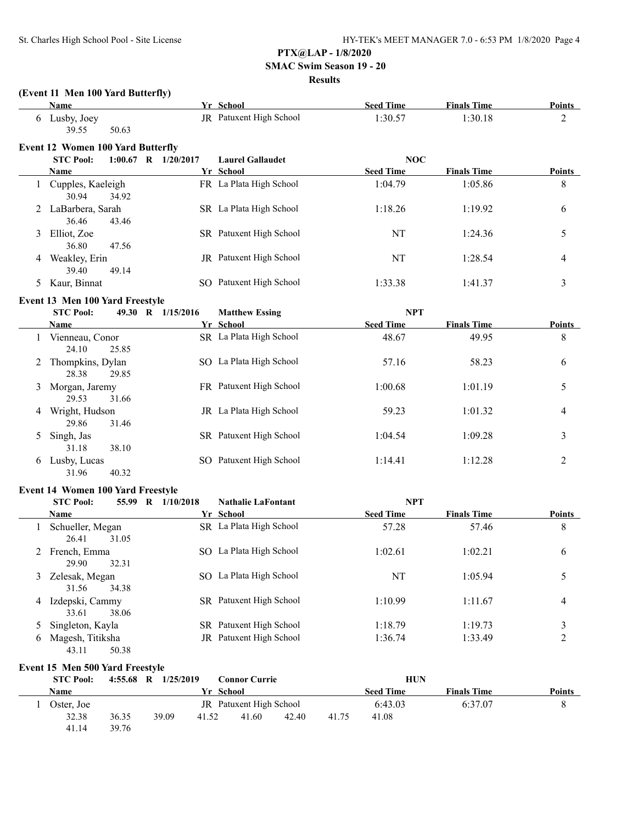41.14 39.76

## **PTX@LAP - 1/8/2020**

## **SMAC Swim Season 19 - 20**

### **Results**

|    | (Event 11 Men 100 Yard Butterfly)<br><b>Name</b> |                         | Yr School                 | <b>Seed Time</b> | <b>Finals Time</b> | Points        |
|----|--------------------------------------------------|-------------------------|---------------------------|------------------|--------------------|---------------|
|    | 6 Lusby, Joey                                    |                         | JR Patuxent High School   | 1:30.57          | 1:30.18            | 2             |
|    | 39.55<br>50.63                                   |                         |                           |                  |                    |               |
|    | <b>Event 12 Women 100 Yard Butterfly</b>         |                         |                           |                  |                    |               |
|    | <b>STC Pool:</b>                                 | $1:00.67$ R $1/20/2017$ | <b>Laurel Gallaudet</b>   | <b>NOC</b>       |                    |               |
|    | Name                                             |                         | Yr School                 | <b>Seed Time</b> | <b>Finals Time</b> | <b>Points</b> |
|    | 1 Cupples, Kaeleigh<br>30.94<br>34.92            |                         | FR La Plata High School   | 1:04.79          | 1:05.86            | 8             |
|    | LaBarbera, Sarah<br>36.46<br>43.46               |                         | SR La Plata High School   | 1:18.26          | 1:19.92            | 6             |
| 3  | Elliot, Zoe<br>36.80<br>47.56                    |                         | SR Patuxent High School   | NT               | 1:24.36            | 5             |
| 4  | Weakley, Erin<br>39.40<br>49.14                  |                         | JR Patuxent High School   | <b>NT</b>        | 1:28.54            | 4             |
| 5. | Kaur, Binnat                                     |                         | SO Patuxent High School   | 1:33.38          | 1:41.37            | 3             |
|    | Event 13 Men 100 Yard Freestyle                  |                         |                           |                  |                    |               |
|    | <b>STC Pool:</b>                                 | 49.30 R 1/15/2016       | <b>Matthew Essing</b>     | <b>NPT</b>       |                    |               |
|    | Name                                             |                         | Yr School                 | <b>Seed Time</b> | <b>Finals Time</b> | <b>Points</b> |
|    | 1 Vienneau, Conor<br>24.10<br>25.85              |                         | SR La Plata High School   | 48.67            | 49.95              | 8             |
| 2  | Thompkins, Dylan<br>28.38<br>29.85               | SO La Plata High School |                           | 57.16            | 58.23              | 6             |
| 3  | Morgan, Jaremy<br>31.66<br>29.53                 |                         | FR Patuxent High School   | 1:00.68          | 1:01.19            | 5             |
| 4  | Wright, Hudson<br>29.86<br>31.46                 |                         | JR La Plata High School   | 59.23            | 1:01.32            | 4             |
| 5  | Singh, Jas<br>31.18<br>38.10                     |                         | SR Patuxent High School   | 1:04.54          | 1:09.28            | 3             |
| 6  | Lusby, Lucas<br>31.96<br>40.32                   |                         | SO Patuxent High School   | 1:14.41          | 1:12.28            | 2             |
|    | <b>Event 14 Women 100 Yard Freestyle</b>         |                         |                           |                  |                    |               |
|    | <b>STC Pool:</b>                                 | 55.99 R 1/10/2018       | <b>Nathalie LaFontant</b> | <b>NPT</b>       |                    |               |
|    | Name                                             |                         | Yr School                 | <b>Seed Time</b> | <b>Finals Time</b> | Points        |
|    | 1 Schueller, Megan<br>26.41<br>31.05             |                         | SR La Plata High School   | 57.28            | 57.46              | 8             |
|    | 2 French, Emma<br>29.90<br>32.31                 |                         | SO La Plata High School   | 1:02.61          | 1:02.21            | 6             |
| 3  | Zelesak, Megan<br>31.56<br>34.38                 |                         | SO La Plata High School   | NT               | 1:05.94            | 5             |
| 4  | Izdepski, Cammy<br>33.61<br>38.06                |                         | SR Patuxent High School   | 1:10.99          | 1:11.67            | 4             |
| 5  | Singleton, Kayla                                 |                         | SR Patuxent High School   | 1:18.79          | 1:19.73            | 3             |
| 6  | Magesh, Titiksha<br>43.11<br>50.38               |                         | JR Patuxent High School   | 1:36.74          | 1:33.49            | 2             |
|    | Event 15 Men 500 Yard Freestyle                  |                         |                           |                  |                    |               |
|    | <b>STC Pool:</b>                                 | 4:55.68 R 1/25/2019     | <b>Connor Currie</b>      | <b>HUN</b>       |                    |               |
|    | <b>Name</b>                                      |                         | Yr School                 | <b>Seed Time</b> | <b>Finals Time</b> | <b>Points</b> |
|    | 1 Oster, Joe                                     |                         | JR Patuxent High School   | 6:43.03          | 6:37.07            | 8             |
|    | 36.35<br>32.38                                   | 39.09<br>41.52          | 41.60<br>42.40            | 41.75<br>41.08   |                    |               |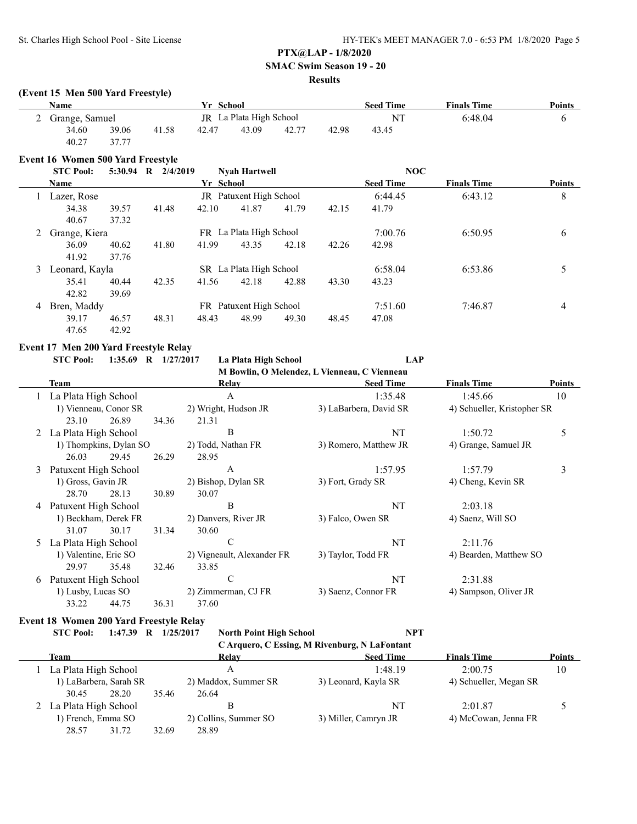## **SMAC Swim Season 19 - 20**

## **Results**

#### **(Event 15 Men 500 Yard Freestyle)**

| Name             |                         | Yr School |       |       |       | <b>Seed Time</b> | <b>Finals Time</b> | <b>Points</b> |  |
|------------------|-------------------------|-----------|-------|-------|-------|------------------|--------------------|---------------|--|
| 2 Grange, Samuel | JR La Plata High School |           |       |       |       | NT               | 6:48.04            |               |  |
| 34.60            | 39.06                   | 41.58     | 42.47 | 43.09 | 42.77 | 42.98            | 43.45              |               |  |
| 40.27            | 37.77                   |           |       |       |       |                  |                    |               |  |

#### **Event 16 Women 500 Yard Freestyle**

|   | <b>STC Pool:</b> | $5:30.94$ R | 2/4/2019 |           | <b>Nvah Hartwell</b>           |       |       | NOC              |                    |               |
|---|------------------|-------------|----------|-----------|--------------------------------|-------|-------|------------------|--------------------|---------------|
|   | <b>Name</b>      |             |          | Yr School |                                |       |       | <b>Seed Time</b> | <b>Finals Time</b> | <b>Points</b> |
|   | Lazer, Rose      |             |          |           | <b>JR</b> Patuxent High School |       |       | 6:44.45          | 6:43.12            | 8             |
|   | 34.38            | 39.57       | 41.48    | 42.10     | 41.87                          | 41.79 | 42.15 | 41.79            |                    |               |
|   | 40.67            | 37.32       |          |           |                                |       |       |                  |                    |               |
| 2 | Grange, Kiera    |             |          |           | FR La Plata High School        |       |       | 7:00.76          | 6:50.95            | 6             |
|   | 36.09            | 40.62       | 41.80    | 41.99     | 43.35                          | 42.18 | 42.26 | 42.98            |                    |               |
|   | 41.92            | 37.76       |          |           |                                |       |       |                  |                    |               |
| 3 | Leonard, Kayla   |             |          |           | SR La Plata High School        |       |       | 6:58.04          | 6:53.86            |               |
|   | 35.41            | 40.44       | 42.35    | 41.56     | 42.18                          | 42.88 | 43.30 | 43.23            |                    |               |
|   | 42.82            | 39.69       |          |           |                                |       |       |                  |                    |               |
| 4 | Bren, Maddy      |             |          |           | FR Patuxent High School        |       |       | 7:51.60          | 7:46.87            | 4             |
|   | 39.17            | 46.57       | 48.31    | 48.43     | 48.99                          | 49.30 | 48.45 | 47.08            |                    |               |
|   | 47.65            | 42.92       |          |           |                                |       |       |                  |                    |               |

#### **Event 17 Men 200 Yard Freestyle Relay**

**STC Pool: 1:35.69 R 1/27/2017 La Plata High School LAP M Bowlin, O Melendez, L Vienneau, C Vienneau**

|   |                       |                        |       |                            | <b>New Bowlin, O Meiengez, L</b> Vienneau, C Vienneau |                             |               |
|---|-----------------------|------------------------|-------|----------------------------|-------------------------------------------------------|-----------------------------|---------------|
|   | Team                  |                        |       | Relay                      | <b>Seed Time</b>                                      | <b>Finals Time</b>          | <b>Points</b> |
|   | La Plata High School  |                        |       | A                          | 1:35.48                                               | 1:45.66                     | 10            |
|   |                       | 1) Vienneau, Conor SR  |       | 2) Wright, Hudson JR       | 3) LaBarbera, David SR                                | 4) Schueller, Kristopher SR |               |
|   | 23.10                 | 26.89                  | 34.36 | 21.31                      |                                                       |                             |               |
| 2 | La Plata High School  |                        |       | B                          | NT                                                    | 1:50.72                     | 5             |
|   |                       | 1) Thompkins, Dylan SO |       | 2) Todd, Nathan FR         | 3) Romero, Matthew JR                                 | 4) Grange, Samuel JR        |               |
|   | 26.03                 | 29.45                  | 26.29 | 28.95                      |                                                       |                             |               |
| 3 | Patuxent High School  |                        |       | A                          | 1:57.95                                               | 1:57.79                     | 3             |
|   | 1) Gross, Gavin JR    |                        |       | 2) Bishop, Dylan SR        | 3) Fort, Grady SR                                     | 4) Cheng, Kevin SR          |               |
|   | 28.70                 | 28.13                  | 30.89 | 30.07                      |                                                       |                             |               |
| 4 | Patuxent High School  |                        |       | В                          | NT                                                    | 2:03.18                     |               |
|   |                       | 1) Beckham, Derek FR   |       | 2) Danvers, River JR       | 3) Falco, Owen SR                                     | 4) Saenz, Will SO           |               |
|   | 31.07                 | 30.17                  | 31.34 | 30.60                      |                                                       |                             |               |
| 5 | La Plata High School  |                        |       | C                          | NT                                                    | 2:11.76                     |               |
|   | 1) Valentine, Eric SO |                        |       | 2) Vigneault, Alexander FR | 3) Taylor, Todd FR                                    | 4) Bearden, Matthew SO      |               |
|   | 29.97                 | 35.48                  | 32.46 | 33.85                      |                                                       |                             |               |
| 6 | Patuxent High School  |                        |       | C                          | NT                                                    | 2:31.88                     |               |
|   | 1) Lusby, Lucas SO    |                        |       | 2) Zimmerman, CJ FR        | 3) Saenz, Connor FR                                   | 4) Sampson, Oliver JR       |               |
|   | 33.22                 | 44.75                  | 36.31 | 37.60                      |                                                       |                             |               |

### **Event 18 Women 200 Yard Freestyle Relay**

**STC Pool: 1:47.39 R 1/25/2017 North Point High School NPT C Arquero, C Essing, M Rivenburg, N LaFontant**

|                        |       |       |                       | $\sim$ . The directed $\sim$ Essain, which is the directed of $\sim$ |                        |               |
|------------------------|-------|-------|-----------------------|----------------------------------------------------------------------|------------------------|---------------|
| Team                   |       |       | Relay                 | <b>Seed Time</b>                                                     | <b>Finals Time</b>     | <b>Points</b> |
| La Plata High School   |       |       |                       | 1:48.19                                                              | 2:00.75                | 10            |
| 1) LaBarbera, Sarah SR |       |       | 2) Maddox, Summer SR  | 3) Leonard, Kayla SR                                                 | 4) Schueller, Megan SR |               |
| 30.45                  | 28.20 | 35.46 | 26.64                 |                                                                      |                        |               |
| 2 La Plata High School |       |       |                       | NT                                                                   | 2:01.87                |               |
| 1) French, Emma SO     |       |       | 2) Collins, Summer SO | 3) Miller, Camryn JR                                                 | 4) McCowan, Jenna FR   |               |
| 28.57                  | 31.72 | 32.69 | 28.89                 |                                                                      |                        |               |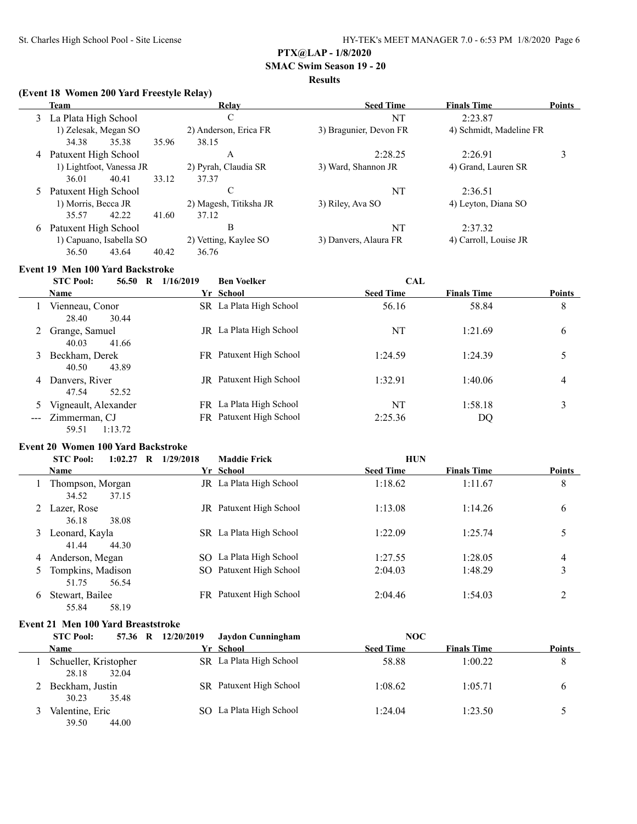## **SMAC Swim Season 19 - 20**

## **Results**

#### **(Event 18 Women 200 Yard Freestyle Relay)**

|   | Team                                            |       |       | Relay                  | <b>Seed Time</b>       | <b>Finals Time</b>      | <b>Points</b> |
|---|-------------------------------------------------|-------|-------|------------------------|------------------------|-------------------------|---------------|
|   | 3 La Plata High School                          |       |       | С                      | NT                     | 2:23.87                 |               |
|   | 1) Zelesak, Megan SO                            |       |       | 2) Anderson, Erica FR  | 3) Bragunier, Devon FR | 4) Schmidt, Madeline FR |               |
|   | 34.38                                           | 35.38 | 35.96 | 38.15                  |                        |                         |               |
|   | 4 Patuxent High School                          |       |       | A                      | 2:28.25                | 2:26.91                 |               |
|   | 1) Lightfoot, Vanessa JR                        |       |       | 2) Pyrah, Claudia SR   | 3) Ward, Shannon JR    | 4) Grand, Lauren SR     |               |
|   | 36.01                                           | 40.41 | 33.12 | 37.37                  |                        |                         |               |
|   | 5 Patuxent High School                          |       |       | C                      | NT                     | 2:36.51                 |               |
|   | 1) Morris, Becca JR                             |       |       | 2) Magesh, Titiksha JR | 3) Riley, Ava SO       | 4) Leyton, Diana SO     |               |
|   | 35.57                                           | 42.22 | 41.60 | 37.12                  |                        |                         |               |
| 6 | Patuxent High School<br>1) Capuano, Isabella SO |       | В     | NT                     | 2:37.32                |                         |               |
|   |                                                 |       |       | 2) Vetting, Kaylee SO  | 3) Danvers, Alaura FR  | 4) Carroll, Louise JR   |               |
|   | 36.50                                           | 43.64 | 40.42 | 36.76                  |                        |                         |               |

# **Event 19 Men 100 Yard Backstroke**

|   | <b>STC Pool:</b><br>56.50<br>R        | 1/16/2019 | <b>Ben Voelker</b>             | <b>CAL</b>       |                    |               |
|---|---------------------------------------|-----------|--------------------------------|------------------|--------------------|---------------|
|   | <b>Name</b>                           |           | Yr School                      | <b>Seed Time</b> | <b>Finals Time</b> | <b>Points</b> |
|   | Vienneau, Conor<br>30.44<br>28.40     |           | SR La Plata High School        | 56.16            | 58.84              | 8             |
|   | Grange, Samuel<br>40.03<br>41.66      |           | JR La Plata High School        | NT               | 1:21.69            | 6             |
| 3 | Beckham, Derek<br>43.89<br>40.50      |           | FR Patuxent High School        | 1:24.59          | 1:24.39            |               |
| 4 | Danvers, River<br>52.52<br>47.54      |           | <b>JR</b> Patuxent High School | 1:32.91          | 1:40.06            | 4             |
|   | Vigneault, Alexander                  |           | FR La Plata High School        | NT               | 1:58.18            | 3             |
|   | --- Zimmerman, CJ<br>59.51<br>1:13.72 |           | FR Patuxent High School        | 2:25.36          | DQ                 |               |

### **Event 20 Women 100 Yard Backstroke**

|   | <b>STC Pool:</b><br>$1:02.27$ R     | 1/29/2018 | <b>Maddie Frick</b>     | <b>HUN</b>       |                    |               |
|---|-------------------------------------|-----------|-------------------------|------------------|--------------------|---------------|
|   | <b>Name</b>                         |           | Yr School               | <b>Seed Time</b> | <b>Finals Time</b> | <b>Points</b> |
|   | Thompson, Morgan<br>37.15<br>34.52  |           | JR La Plata High School | 1:18.62          | 1:11.67            | 8             |
|   | Lazer, Rose<br>38.08<br>36.18       |           | JR Patuxent High School | 1:13.08          | 1:14.26            | 6             |
| 3 | Leonard, Kayla<br>41.44<br>44.30    |           | SR La Plata High School | 1:22.09          | 1:25.74            |               |
| 4 | Anderson, Megan                     |           | SO La Plata High School | 1:27.55          | 1:28.05            | 4             |
|   | Tompkins, Madison<br>56.54<br>51.75 |           | SO Patuxent High School | 2:04.03          | 1:48.29            | 3             |
| 6 | Stewart, Bailee<br>55.84<br>58.19   |           | FR Patuxent High School | 2:04.46          | 1:54.03            | 2             |

#### **Event 21 Men 100 Yard Breaststroke**

| <b>STC Pool:</b>                        | 57.36 R 12/20/2019<br>Jaydon Cunningham | NOC                                    |               |
|-----------------------------------------|-----------------------------------------|----------------------------------------|---------------|
| <b>Name</b>                             | Yr School                               | <b>Seed Time</b><br><b>Finals Time</b> | <b>Points</b> |
| Schueller, Kristopher<br>32.04<br>28.18 | SR La Plata High School                 | 1:00.22<br>58.88                       | 8             |
| Beckham, Justin<br>30.23<br>35.48       | SR Patuxent High School                 | 1:05.71<br>1:08.62                     | b             |
| Valentine, Eric<br>39.50<br>44.00       | SO La Plata High School                 | 1:23.50<br>1:24.04                     |               |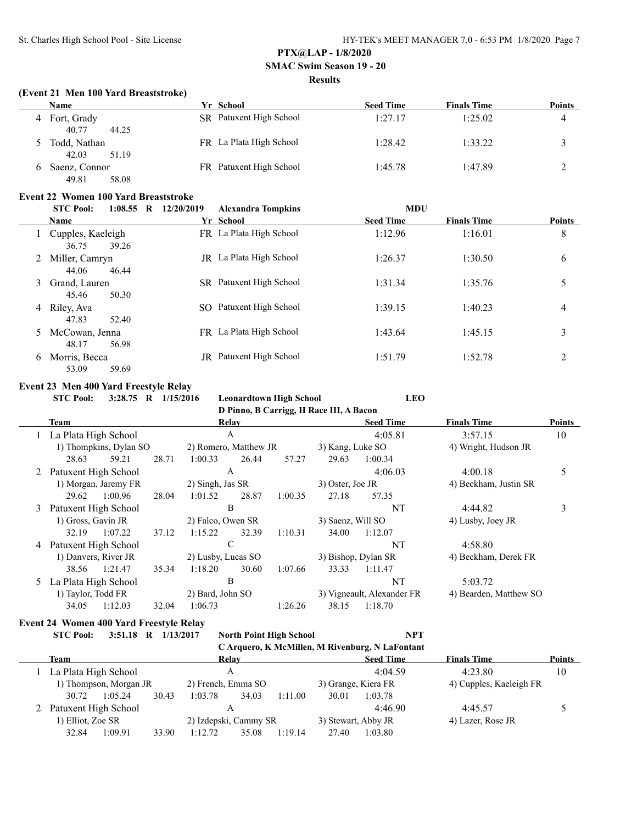## **SMAC Swim Season 19 - 20**

#### **Results**

#### **(Event 21 Men 100 Yard Breaststroke)**

|   | <b>Name</b>    | Yr School               | <b>Seed Time</b> | <b>Finals Time</b> | Points |
|---|----------------|-------------------------|------------------|--------------------|--------|
| 4 | Fort, Grady    | SR Patuxent High School | 1:27.17          | 1:25.02            | 4      |
|   | 40.77<br>44.25 |                         |                  |                    |        |
|   | Todd, Nathan   | FR La Plata High School | 1:28.42          | 1:33.22            |        |
|   | 42.03<br>51.19 |                         |                  |                    |        |
|   | Saenz, Connor  | FR Patuxent High School | 1:45.78          | 1:47.89            | ∼      |
|   | 49.81<br>58.08 |                         |                  |                    |        |

#### **Event 22 Women 100 Yard Breaststroke**

|   | <b>STC Pool:</b><br>$1:08.55$ R     | 12/20/2019<br><b>Alexandra Tompkins</b> | <b>MDU</b>                             |               |
|---|-------------------------------------|-----------------------------------------|----------------------------------------|---------------|
|   | <b>Name</b>                         | Yr School                               | <b>Seed Time</b><br><b>Finals Time</b> | <b>Points</b> |
|   | Cupples, Kaeleigh<br>36.75<br>39.26 | FR La Plata High School                 | 1:12.96<br>1:16.01                     | 8             |
|   | Miller, Camryn<br>44.06<br>46.44    | JR La Plata High School                 | 1:26.37<br>1:30.50                     | 6             |
| 3 | Grand, Lauren<br>50.30<br>45.46     | SR Patuxent High School                 | 1:31.34<br>1:35.76                     | 5             |
| 4 | Riley, Ava<br>47.83<br>52.40        | SO Patuxent High School                 | 1:39.15<br>1:40.23                     | 4             |
| 5 | McCowan, Jenna<br>48.17<br>56.98    | FR La Plata High School                 | 1:43.64<br>1:45.15                     | 3             |
| 6 | Morris, Becca<br>53.09<br>59.69     | Patuxent High School<br>JR.             | 1:52.78<br>1:51.79                     | 2             |

#### **Event 23 Men 400 Yard Freestyle Relay**

|   | <b>STC Pool:</b>       | EVUIL 29 -MUI 700 -MUU FTUUSIVIU IWM<br>3:28.75 R $1/15/2016$ |       |                       |       | <b>Leonardtown High School</b> |                                         | <b>LEO</b>                 |                        |               |
|---|------------------------|---------------------------------------------------------------|-------|-----------------------|-------|--------------------------------|-----------------------------------------|----------------------------|------------------------|---------------|
|   |                        |                                                               |       |                       |       |                                | D Pinno, B Carrigg, H Race III, A Bacon |                            |                        |               |
|   | Team                   |                                                               |       |                       | Relay |                                |                                         | <b>Seed Time</b>           | <b>Finals Time</b>     | <b>Points</b> |
|   | 1 La Plata High School |                                                               |       |                       | A     |                                |                                         | 4:05.81                    | 3:57.15                | 10            |
|   |                        | 1) Thompkins, Dylan SO                                        |       | 2) Romero, Matthew JR |       |                                | 3) Kang, Luke SO                        |                            | 4) Wright, Hudson JR   |               |
|   | 28.63                  | 59.21                                                         | 28.71 | 1:00.33               | 26.44 | 57.27                          | 29.63                                   | 1:00.34                    |                        |               |
| 2 | Patuxent High School   |                                                               |       |                       | A     |                                |                                         | 4:06.03                    | 4:00.18                | 5             |
|   |                        | 1) Morgan, Jaremy FR                                          |       | 2) Singh, Jas SR      |       |                                | 3) Oster, Joe JR                        |                            | 4) Beckham, Justin SR  |               |
|   | 29.62                  | 1:00.96                                                       | 28.04 | 1:01.52               | 28.87 | 1:00.35                        | 27.18                                   | 57.35                      |                        |               |
| 3 | Patuxent High School   |                                                               |       |                       | B     |                                |                                         | <b>NT</b>                  | 4:44.82                | 3             |
|   | 1) Gross, Gavin JR     |                                                               |       | 2) Falco, Owen SR     |       |                                | 3) Saenz, Will SO                       |                            | 4) Lusby, Joey JR      |               |
|   | 32.19                  | 1:07.22                                                       | 37.12 | 1:15.22               | 32.39 | 1:10.31                        | 34.00                                   | 1:12.07                    |                        |               |
| 4 | Patuxent High School   |                                                               |       |                       | C     |                                |                                         | NT                         | 4:58.80                |               |
|   |                        | 1) Danvers, River JR                                          |       | 2) Lusby, Lucas SO    |       |                                |                                         | 3) Bishop, Dylan SR        | 4) Beckham, Derek FR   |               |
|   | 38.56                  | 1:21.47                                                       | 35.34 | 1:18.20               | 30.60 | 1:07.66                        | 33.33                                   | 1:11.47                    |                        |               |
|   | 5 La Plata High School |                                                               |       |                       | B     |                                |                                         | NT                         | 5:03.72                |               |
|   | 1) Taylor, Todd FR     |                                                               |       | 2) Bard, John SO      |       |                                |                                         | 3) Vigneault, Alexander FR | 4) Bearden, Matthew SO |               |
|   | 34.05                  | 1:12.03                                                       | 32.04 | 1:06.73               |       | 1:26.26                        | 38.15                                   | 1:18.70                    |                        |               |

#### **Event 24 Women 400 Yard Freestyle Relay**

| <b>STC Pool:</b>       | 3:51.18 | 1/13/2017<br>R |         | <b>North Point High School</b> |         |                     | <b>NPT</b><br>C Arquero, K McMillen, M Rivenburg, N LaFontant |                         |               |
|------------------------|---------|----------------|---------|--------------------------------|---------|---------------------|---------------------------------------------------------------|-------------------------|---------------|
| Team                   |         |                |         | Relav                          |         |                     | <b>Seed Time</b>                                              | <b>Finals Time</b>      | <b>Points</b> |
| La Plata High School   |         |                |         | А                              |         |                     | 4:04.59                                                       | 4:23.80                 | 10            |
| 1) Thompson, Morgan JR |         |                |         | 2) French, Emma SO             |         | 3) Grange, Kiera FR |                                                               | 4) Cupples, Kaeleigh FR |               |
| 30.72                  | 1:05.24 | 30.43          | 1:03.78 | 34.03                          | 1:11.00 | 30.01               | 1:03.78                                                       |                         |               |
| 2 Patuxent High School |         |                |         | Α                              |         |                     | 4:46.90                                                       | 4.4557                  |               |
| 1) Elliot, Zoe SR      |         |                |         | 2) Izdepski, Cammy SR          |         | 3) Stewart, Abby JR |                                                               | 4) Lazer, Rose JR       |               |
| 32.84                  | 1:09.91 | 33.90          | 1:12.72 | 35.08                          | 1:19.14 | 27.40               | 1:03.80                                                       |                         |               |